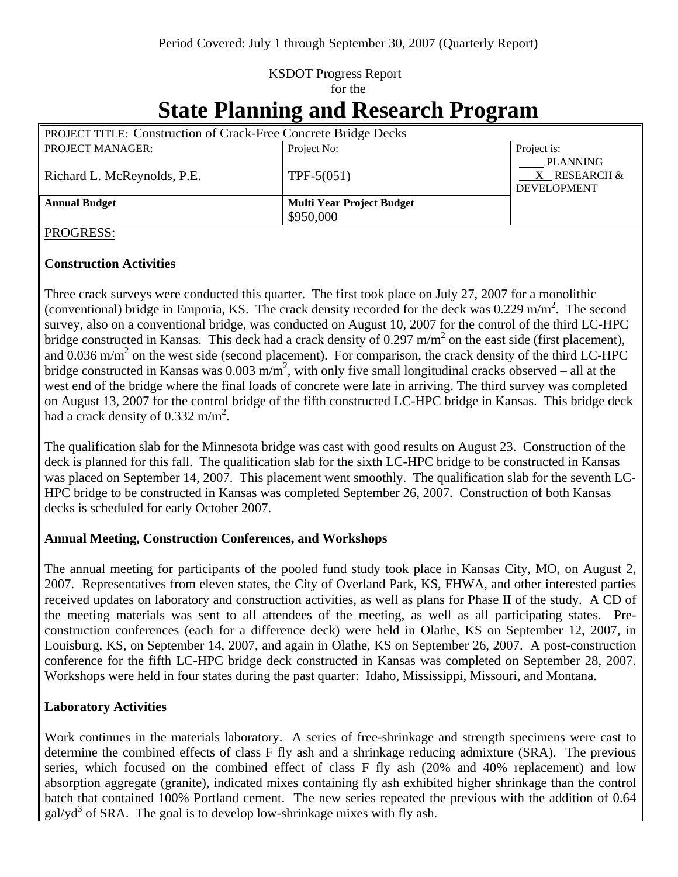# KSDOT Progress Report for the

# **State Planning and Research Program**

| <b>PROJECT TITLE: Construction of Crack-Free Concrete Bridge Decks</b> |                                  |                                                |
|------------------------------------------------------------------------|----------------------------------|------------------------------------------------|
| <b>PROJECT MANAGER:</b>                                                | Project No:                      | Project is:                                    |
| Richard L. McReynolds, P.E.                                            | $TPF-5(051)$                     | PLANNING<br>X RESEARCH &<br><b>DEVELOPMENT</b> |
| <b>Annual Budget</b>                                                   | <b>Multi Year Project Budget</b> |                                                |
|                                                                        | \$950,000                        |                                                |

#### PROGRESS:

#### **Construction Activities**

Three crack surveys were conducted this quarter. The first took place on July 27, 2007 for a monolithic (conventional) bridge in Emporia, KS. The crack density recorded for the deck was  $0.229 \text{ m/m}^2$ . The second survey, also on a conventional bridge, was conducted on August 10, 2007 for the control of the third LC-HPC bridge constructed in Kansas. This deck had a crack density of 0.297 m/m<sup>2</sup> on the east side (first placement), and  $0.036$  m/m<sup>2</sup> on the west side (second placement). For comparison, the crack density of the third LC-HPC bridge constructed in Kansas was  $0.003 \text{ m/m}^2$ , with only five small longitudinal cracks observed – all at the west end of the bridge where the final loads of concrete were late in arriving. The third survey was completed on August 13, 2007 for the control bridge of the fifth constructed LC-HPC bridge in Kansas. This bridge deck had a crack density of  $0.332 \text{ m/m}^2$ .

The qualification slab for the Minnesota bridge was cast with good results on August 23. Construction of the deck is planned for this fall. The qualification slab for the sixth LC-HPC bridge to be constructed in Kansas was placed on September 14, 2007. This placement went smoothly. The qualification slab for the seventh LC-HPC bridge to be constructed in Kansas was completed September 26, 2007. Construction of both Kansas decks is scheduled for early October 2007.

## **Annual Meeting, Construction Conferences, and Workshops**

The annual meeting for participants of the pooled fund study took place in Kansas City, MO, on August 2, 2007. Representatives from eleven states, the City of Overland Park, KS, FHWA, and other interested parties received updates on laboratory and construction activities, as well as plans for Phase II of the study. A CD of the meeting materials was sent to all attendees of the meeting, as well as all participating states. Preconstruction conferences (each for a difference deck) were held in Olathe, KS on September 12, 2007, in Louisburg, KS, on September 14, 2007, and again in Olathe, KS on September 26, 2007. A post-construction conference for the fifth LC-HPC bridge deck constructed in Kansas was completed on September 28, 2007. Workshops were held in four states during the past quarter: Idaho, Mississippi, Missouri, and Montana.

## **Laboratory Activities**

Work continues in the materials laboratory. A series of free-shrinkage and strength specimens were cast to determine the combined effects of class F fly ash and a shrinkage reducing admixture (SRA). The previous series, which focused on the combined effect of class F fly ash (20% and 40% replacement) and low absorption aggregate (granite), indicated mixes containing fly ash exhibited higher shrinkage than the control batch that contained 100% Portland cement. The new series repeated the previous with the addition of 0.64  $galyd<sup>3</sup>$  of SRA. The goal is to develop low-shrinkage mixes with fly ash.